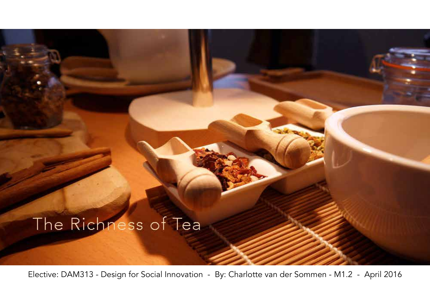### The Richness of Tea

Elective: DAM313 - Design for Social Innovation - By: Charlotte van der Sommen - M1.2 - April 2016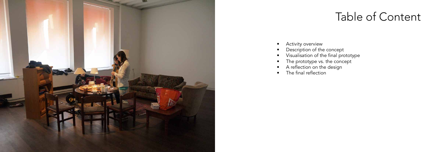

### Table of Content

- Activity overview
- Description of the concept
- • Visualisation of the final prototype
- The prototype vs. the concept
- A reflection on the design
- The final reflection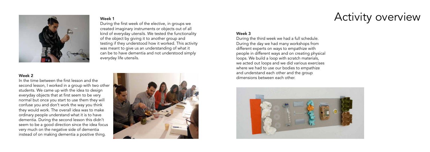

created imaginary instruments or objects out of all kind of everyday utensils. We tested the functionality of the object by giving it to another group and testing if they understood how it worked. This activity was meant to give us an understanding of what it can be to have dementia and not understood simply everyday life utensils.

#### Week 2

In the time between the first lesson and the second lesson, I worked in a group with two other students. We came up with the idea to design everyday objects that at first seem to be very normal but once you start to use them they will confuse you and don't work the way you think they would work. The overall idea was to make ordinary people understand what it is to have dementia. During the second lesson this didn't seem to be a good direction since the idea focus very much on the negative side of dementia instead of on making dementia a positive thing.



# Week 1 Nuring the first week of the elective, in groups we **Activity overview**

#### Week 3

During the third week we had a full schedule. During the day we had many workshops from different experts on ways to empathize with people in different ways and on creating physical loops. We build a loop with scratch materials, we acted out loops and we did various exercises where we had to use our bodies to empathize and understand each other and the group dimensions between each other.

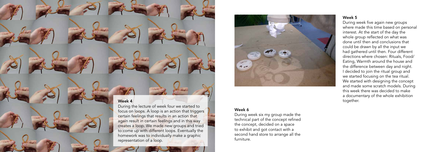#### Week 5

During week five again new groups where made this time based on personal interest. At the start of the day the whole group reflected on what was done until then and conclusions that could be drawn by all the input we had gathered until then. Four different directions where chosen: Rituals, Food/ Eating, Warmth around the house and the difference between day and night. I decided to join the ritual group and we started focusing on the tea ritual. We started with designing the concept and made some scratch models. During this week there was decided to make a documentary of the whole exhibition together.

### Week 6

During week six my group made the technical part of the concept refined the concept, decided on a space to exhibit and got contact with a second hand store to arrange all the furniture.

#### Week 4

During the lecture of week four we started to focus on loops. A loop is an action that triggers certain feelings that results in an action that again result in certain feelings and in this way creates a loop. We made new groups and tried to come up with different loops. Eventually the homework was to individually make a graphic representation of a loop.

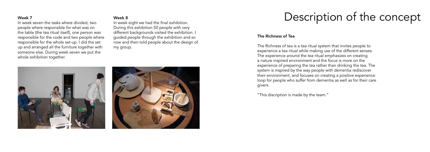#### Week 7

In week seven the tasks where divided, two people where responsible for what was on the table (the tea ritual itself), one person was responsible for the code and two people where responsible for the whole set-up. I did the set up and arranged all the furniture together with someone else. During week seven we put the whole exhibition together.

#### Week 8

In week eight we had the final exhibition. During this exhibition 50 people with very different backgrounds visited the exhibition. I guided people through the exhibition and so now and then told people about the design of my group.





### Description of the concept

#### The Richness of Tea

The Richness of tea is a tea ritual system that invites people to experience a tea ritual while making use of the different senses. The experience around the tea ritual emphasizes on creating a nature inspired environment and the focus is more on the experience of preparing the tea rather than drinking the tea. The system is inspired by the way people with dementia rediscover their environment, and focuses on creating a positive experience loop for people who suffer from dementia as well as for their care givers.

"This discription is made by the team."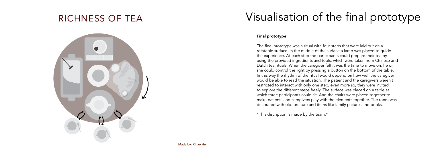# Visualisation of the final prototype

#### Final prototype

The final prototype was a ritual with four steps that were laid out on a rotatable surface. In the middle of the surface a lamp was placed to guide the experience. At each step the participants could prepare their tea by using the provided ingredients and tools, which were taken from Chinese and Dutch tea rituals. When the caregiver felt it was the time to move on, he or she could control the light by pressing a button on the bottom of the table. In this way the rhythm of the ritual would depend on how well the caregiver would be able to read the situation. The patient and the caregivers weren't restricted to interact with only one step, even more so, they were invited to explore the different steps freely. The surface was placed on a table at which three participants could sit. And the chairs were placed together to make patients and caregivers play with the elements together. The room was decorated with old furniture and items like family pictures and books.

"This discription is made by the team."

### RICHNESS OF TEA

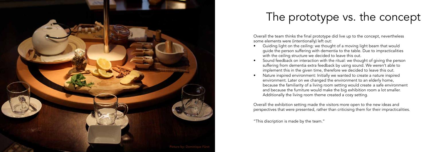### The prototype vs. the concept

Overall the team thinks the final prototype did live up to the concept, nevertheless some elements were (intentionally) left out:

- Guiding light on the ceiling: we thought of a moving light beam that would guide the person suffering with dementia to the table. Due to impracticalities with the ceiling structure we decided to leave this out.
- Sound feedback on interaction with the ritual: we thought of giving the person suffering from dementia extra feedback by using sound. We weren't able to implement this in the given time, therefore we decided to leave this out.
- Nature inspired environment: Initially we wanted to create a nature inspired environment. Later on we changed the environment to an elderly home, because the familiarity of a living room setting would create a safe environment and because the furniture would make the big exhibition room a lot smaller. Additionally the living room theme created a cozy setting.

Overall the exhibition setting made the visitors more open to the new ideas and perspectives that were presented, rather than criticising them for their impracticalities.

"This discription is made by the team."

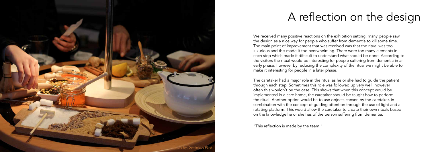### A reflection on the design

We received many positive reactions on the exhibition setting, many people saw the design as a nice way for people who suffer from dementia to kill some time. The main point of improvement that was received was that the ritual was too luxurious and this made it too overwhelming. There were too many elements in each step which made it difficult to understand what should be done. According to the visitors the ritual would be interesting for people suffering from dementia in an early phase; however by reducing the complexity of the ritual we might be able to make it interesting for people in a later phase.

The caretaker had a major role in the ritual as he or she had to guide the patient through each step. Sometimes this role was followed up very well, however often this wouldn't be the case. This shows that when this concept would be implemented in a care home, the caretaker should be taught how to perform the ritual. Another option would be to use objects chosen by the caretaker, in combination with the concept of guiding attention through the use of light and a rotating platform. This would allow the caretaker to create their own rituals based on the knowledge he or she has of the person suffering from dementia.

"This reflection is made by the team."

Picture by: Dominique Fürst